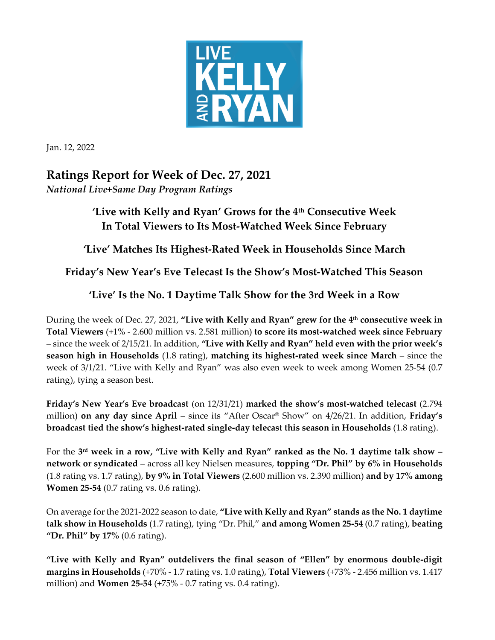

Jan. 12, 2022

## **Ratings Report for Week of Dec. 27, 2021** *National Live+Same Day Program Ratings*

## **'Live with Kelly and Ryan' Grows for the 4th Consecutive Week In Total Viewers to Its Most-Watched Week Since February**

**'Live' Matches Its Highest-Rated Week in Households Since March**

**Friday's New Year's Eve Telecast Is the Show's Most-Watched This Season**

## **'Live' Is the No. 1 Daytime Talk Show for the 3rd Week in a Row**

During the week of Dec. 27, 2021, **"Live with Kelly and Ryan" grew for the 4 th consecutive week in Total Viewers** (+1% - 2.600 million vs. 2.581 million) **to score its most-watched week since February** – since the week of 2/15/21. In addition, **"Live with Kelly and Ryan" held even with the prior week's season high in Households** (1.8 rating), **matching its highest-rated week since March** – since the week of 3/1/21. "Live with Kelly and Ryan" was also even week to week among Women 25-54 (0.7 rating), tying a season best.

**Friday's New Year's Eve broadcast** (on 12/31/21) **marked the show's most-watched telecast** (2.794 million) **on any day since April** – since its "After Oscar® Show" on 4/26/21. In addition, **Friday's broadcast tied the show's highest-rated single-day telecast this season in Households** (1.8 rating).

For the **3 rd week in a row, "Live with Kelly and Ryan" ranked as the No. 1 daytime talk show – network or syndicated** – across all key Nielsen measures, **topping "Dr. Phil" by 6% in Households**  (1.8 rating vs. 1.7 rating), **by 9% in Total Viewers** (2.600 million vs. 2.390 million) **and by 17% among Women 25-54** (0.7 rating vs. 0.6 rating).

On average forthe 2021-2022 season to date, **"Live with Kelly and Ryan" stands as the No. 1 daytime talk show in Households** (1.7 rating), tying "Dr. Phil," **and among Women 25-54** (0.7 rating), **beating "Dr. Phil" by 17%** (0.6 rating).

**"Live with Kelly and Ryan" outdelivers the final season of "Ellen" by enormous double-digit margins in Households** (+70% - 1.7 rating vs. 1.0 rating), **Total Viewers** (+73% - 2.456 million vs. 1.417 million) and **Women 25-54** (+75% - 0.7 rating vs. 0.4 rating).